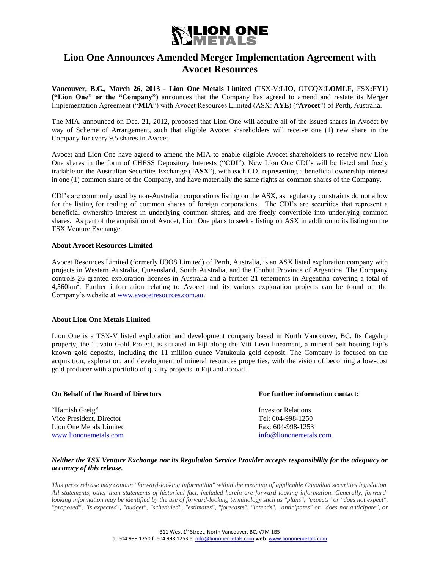

## **Lion One Announces Amended Merger Implementation Agreement with Avocet Resources**

**Vancouver, B.C., March 26, 2013 - Lion One Metals Limited (**TSX-V:**LIO,** OTCQX:**LOMLF,** FSX**:FY1) ("Lion One" or the "Company")** announces that the Company has agreed to amend and restate its Merger Implementation Agreement ("**MIA**") with Avocet Resources Limited (ASX: **AYE**) ("**Avocet**") of Perth, Australia.

The MIA, announced on Dec. 21, 2012, proposed that Lion One will acquire all of the issued shares in Avocet by way of Scheme of Arrangement, such that eligible Avocet shareholders will receive one (1) new share in the Company for every 9.5 shares in Avocet.

Avocet and Lion One have agreed to amend the MIA to enable eligible Avocet shareholders to receive new Lion One shares in the form of CHESS Depository Interests ("**CDI**"). New Lion One CDI's will be listed and freely tradable on the Australian Securities Exchange ("**ASX**"), with each CDI representing a beneficial ownership interest in one (1) common share of the Company, and have materially the same rights as common shares of the Company.

CDI's are commonly used by non-Australian corporations listing on the ASX, as regulatory constraints do not allow for the listing for trading of common shares of foreign corporations. The CDI's are securities that represent a beneficial ownership interest in underlying common shares, and are freely convertible into underlying common shares. As part of the acquisition of Avocet, Lion One plans to seek a listing on ASX in addition to its listing on the TSX Venture Exchange.

## **About Avocet Resources Limited**

Avocet Resources Limited (formerly U3O8 Limited) of Perth, Australia, is an ASX listed exploration company with projects in Western Australia, Queensland, South Australia, and the Chubut Province of Argentina. The Company controls 26 granted exploration licenses in Australia and a further 21 tenements in Argentina covering a total of 4,560km<sup>2</sup>. Further information relating to Avocet and its various exploration projects can be found on the Company's website at [www.avocetresources.com.au.](http://www.avocetresources.com.au/)

## **About Lion One Metals Limited**

Lion One is a TSX-V listed exploration and development company based in North Vancouver, BC. Its flagship property, the Tuvatu Gold Project, is situated in Fiji along the Viti Levu lineament, a mineral belt hosting Fiji's known gold deposits, including the 11 million ounce Vatukoula gold deposit. The Company is focused on the acquisition, exploration, and development of mineral resources properties, with the vision of becoming a low-cost gold producer with a portfolio of quality projects in Fiji and abroad.

| <b>On Behalf of the Board of Directors</b> | For further information contact: |
|--------------------------------------------|----------------------------------|
| "Hamish Greig"                             | Investor Relations               |
| Vice President, Director                   | Tel: 604-998-1250                |
| Lion One Metals Limited                    | Fax: 604-998-1253                |
| www.liononemetals.com                      | info@liononemetals.com           |

## *Neither the TSX Venture Exchange nor its Regulation Service Provider accepts responsibility for the adequacy or accuracy of this release.*

*This press release may contain "forward-looking information" within the meaning of applicable Canadian securities legislation. All statements, other than statements of historical fact, included herein are forward looking information. Generally, forwardlooking information may be identified by the use of forward-looking terminology such as "plans", "expects" or "does not expect", "proposed", "is expected", "budget", "scheduled", "estimates", "forecasts", "intends", "anticipates" or "does not anticipate", or*